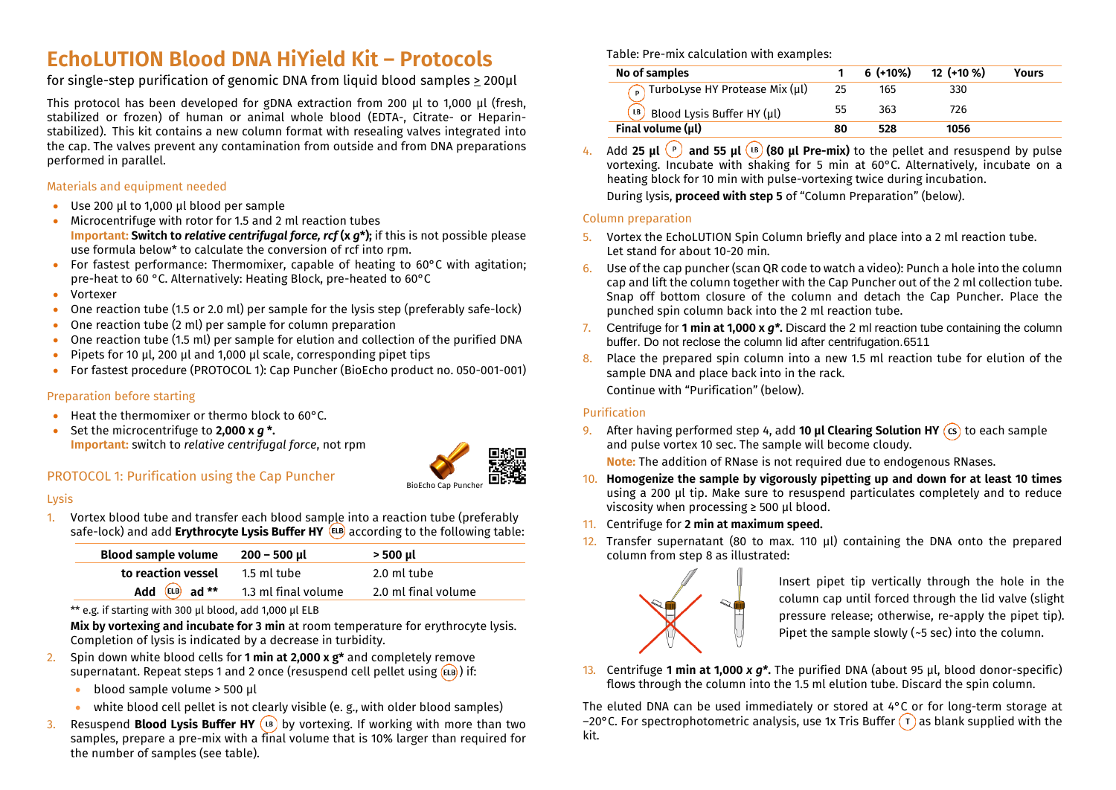# **EchoLUTION Blood DNA HiYield Kit – Protocols**

for single-step purification of genomic DNA from liquid blood samples > 200µl

This protocol has been developed for gDNA extraction from 200 µl to 1,000 µl (fresh, stabilized or frozen) of human or animal whole blood (EDTA-, Citrate- or Heparinstabilized). This kit contains a new column format with resealing valves integrated into the cap. The valves prevent any contamination from outside and from DNA preparations performed in parallel.

# Materials and equipment needed

- Use 200 µl to 1,000 µl blood per sample
- Microcentrifuge with rotor for 1.5 and 2 ml reaction tubes **Important: Switch to** *relative centrifugal force, rcf* **(x** *g***\*);** if this is not possible please use formula below\* to calculate the conversion of rcf into rpm.
- For fastest performance: Thermomixer, capable of heating to 60°C with agitation; pre-heat to 60 °C. Alternatively: Heating Block, pre-heated to 60°C
- Vortexer
- One reaction tube (1.5 or 2.0 ml) per sample for the lysis step (preferably safe-lock)
- One reaction tube (2 ml) per sample for column preparation
- One reaction tube (1.5 ml) per sample for elution and collection of the purified DNA
- Pipets for 10 µl, 200 µl and 1,000 µl scale, corresponding pipet tips
- For fastest procedure (PROTOCOL 1): Cap Puncher (BioEcho product no. 050-001-001)

# Preparation before starting

- Heat the thermomixer or thermo block to 60°C.
- Set the microcentrifuge to **2,000 x** *g* **\*. Important:** switch to *relative centrifugal force*, not rpm



# PROTOCOL 1: Purification using the Cap Puncher

#### Lysis

1. Vortex blood tube and transfer each blood sample into a reaction tube (preferably safe-lock) and add **Erythrocyte Lysis Buffer HY** according to the following table:

| <b>Blood sample volume</b> | 200 – 500 µl        | > 500 µl            |
|----------------------------|---------------------|---------------------|
| to reaction vessel         | 1.5 ml tube         | 2.0 ml tube         |
| Add $EIB$ ad **            | 1.3 ml final volume | 2.0 ml final volume |

\*\* e.g. if starting with 300 µl blood, add 1,000 µl ELB

**Mix by vortexing and incubate for 3 min** at room temperature for erythrocyte lysis. Completion of lysis is indicated by a decrease in turbidity.

- 2. Spin down white blood cells for **1 min at 2,000 x g\*** and completely remove supernatant. Repeat steps 1 and 2 once (resuspend cell pellet using  $(EB)$ ) if:
	- blood sample volume > 500 µl
	- white blood cell pellet is not clearly visible (e. g., with older blood samples)
- 3. Resuspend **Blood Lysis Buffer HY** (B) by vortexing. If working with more than two samples, prepare a pre-mix with a final volume that is 10% larger than required for the number of samples (see table).

Table: Pre-mix calculation with examples:

| No of samples                                                                    |    | $6$ (+10%) | $12$ (+10 %) | <b>Yours</b> |
|----------------------------------------------------------------------------------|----|------------|--------------|--------------|
| $\bigcap$ TurboLyse HY Protease Mix (µl)                                         | 25 | 165        | 330          |              |
| $\left(\begin{smallmatrix} B\end{smallmatrix}\right)$ Blood Lysis Buffer HY (µl) | 55 | 363        | 726          |              |
| Final volume (µl)                                                                |    | 528        | 1056         |              |
|                                                                                  |    |            |              |              |

Add 25  $\mu$ l  $\binom{p}{r}$  and 55  $\mu$ l  $\binom{18}{6}$  (80  $\mu$ l Pre-mix) to the pellet and resuspend by pulse vortexing. Incubate with shaking for 5 min at 60°C. Alternatively, incubate on a heating block for 10 min with pulse-vortexing twice during incubation. During lysis, **proceed with step 5** of "Column Preparation" (below).

#### Column preparation

- 5. Vortex the EchoLUTION Spin Column briefly and place into a 2 ml reaction tube. Let stand for about 10-20 min.
- 6. Use of the cap puncher (scan QR code to watch a video): Punch a hole into the column cap and lift the column together with the Cap Puncher out of the 2 ml collection tube. Snap off bottom closure of the column and detach the Cap Puncher. Place the punched spin column back into the 2 ml reaction tube.
- 7. Centrifuge for **1 min at 1,000 x** *g\****.** Discard the 2 ml reaction tube containing the column buffer. Do not reclose the column lid after centrifugation.6511
- 8. Place the prepared spin column into a new 1.5 ml reaction tube for elution of the sample DNA and place back into in the rack. Continue with "Purification" (below).

## Purification

9. After having performed step 4, add **10 µl Clearing Solution HY** to each sample and pulse vortex 10 sec. The sample will become cloudy.

**Note:** The addition of RNase is not required due to endogenous RNases.

- 10. **Homogenize the sample by vigorously pipetting up and down for at least 10 times**  using a 200 µl tip. Make sure to resuspend particulates completely and to reduce viscosity when processing ≥ 500 µl blood.
- 11. Centrifuge for **2 min at maximum speed.**
- 12. Transfer supernatant (80 to max. 110 µl) containing the DNA onto the prepared column from step 8 as illustrated:



Insert pipet tip vertically through the hole in the column cap until forced through the lid valve (slight pressure release; otherwise, re-apply the pipet tip). Pipet the sample slowly ( $-5$  sec) into the column.

13. Centrifuge **1 min at 1,000** *x g\****.** The purified DNA (about 95 µl, blood donor-specific) flows through the column into the 1.5 ml elution tube. Discard the spin column.

The eluted DNA can be used immediately or stored at 4°C or for long-term storage at –20°C. For spectrophotometric analysis, use 1x Tris Buffer  $(\tau)$  as blank supplied with the kit.